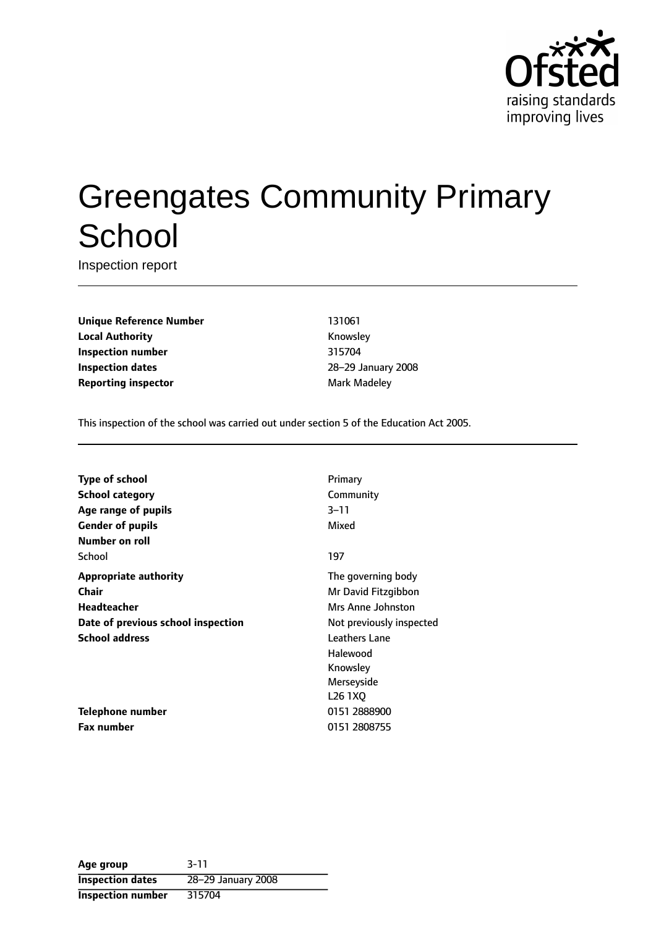

# Greengates Community Primary **School**

Inspection report

**Unique Reference Number** 131061 **Local Authority Knowsley Inspection number** 315704 **Inspection dates** 28-29 January 2008 **Reporting inspector and a reporting inspector Mark Madeley** 

This inspection of the school was carried out under section 5 of the Education Act 2005.

| Type of school                     | Primary                          |
|------------------------------------|----------------------------------|
| <b>School category</b>             | Community                        |
| Age range of pupils                | $3 - 11$                         |
| Gender of pupils                   | Mixed                            |
| Number on roll                     |                                  |
| School                             | 197                              |
| Appropriate authority              | The governing body               |
| Chair                              | Mr David Fitzgibbon              |
| Headteacher                        | Mrs Anne Johnston                |
| Date of previous school inspection | Not previously inspected         |
| School address                     | Leathers Lane                    |
|                                    | Halewood                         |
|                                    | Knowsley                         |
|                                    | Merseyside                       |
|                                    | L <sub>26</sub> 1 <sub>X</sub> O |
| Telephone number                   | 0151 2888900                     |
| Fax number                         | 0151 2808755                     |

**Age group** 3-11 **Inspection dates** 28-29 January 2008 **Inspection number** 315704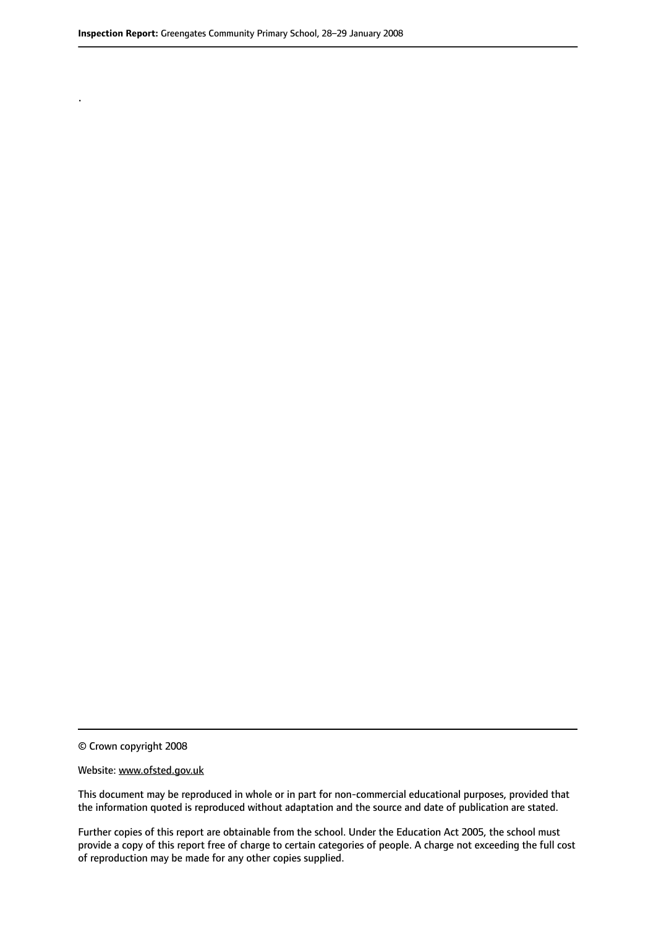.

© Crown copyright 2008

#### Website: www.ofsted.gov.uk

This document may be reproduced in whole or in part for non-commercial educational purposes, provided that the information quoted is reproduced without adaptation and the source and date of publication are stated.

Further copies of this report are obtainable from the school. Under the Education Act 2005, the school must provide a copy of this report free of charge to certain categories of people. A charge not exceeding the full cost of reproduction may be made for any other copies supplied.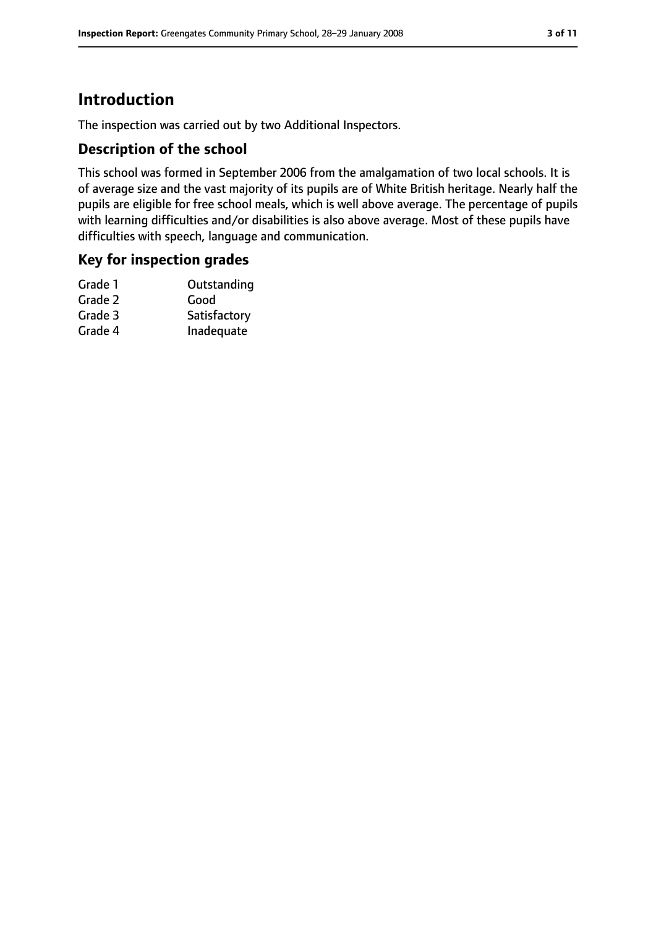# **Introduction**

The inspection was carried out by two Additional Inspectors.

## **Description of the school**

This school was formed in September 2006 from the amalgamation of two local schools. It is of average size and the vast majority of its pupils are of White British heritage. Nearly half the pupils are eligible for free school meals, which is well above average. The percentage of pupils with learning difficulties and/or disabilities is also above average. Most of these pupils have difficulties with speech, language and communication.

## **Key for inspection grades**

| Grade 1 | Outstanding  |
|---------|--------------|
| Grade 2 | Good         |
| Grade 3 | Satisfactory |
| Grade 4 | Inadequate   |
|         |              |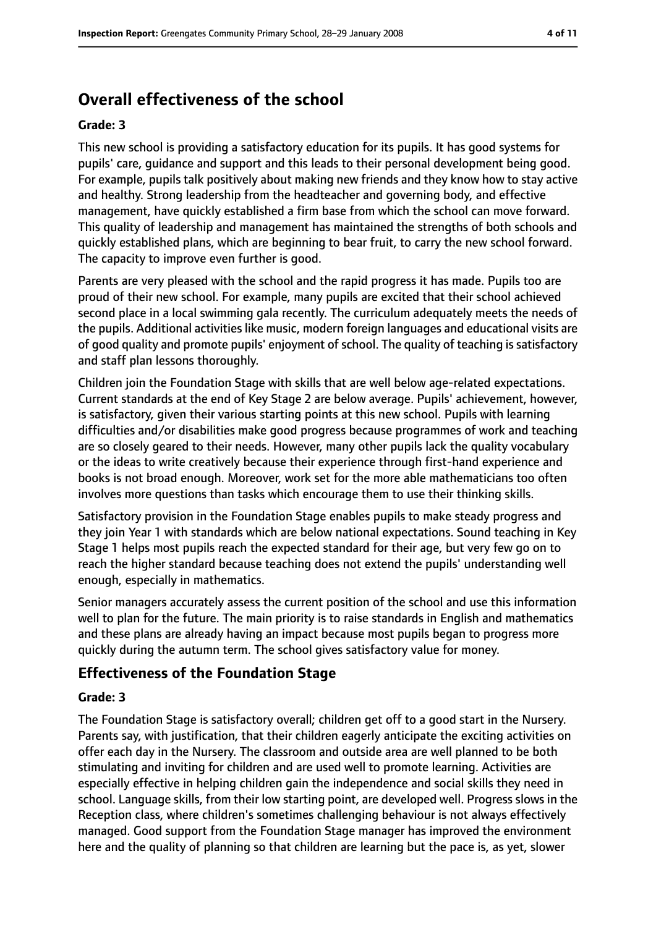# **Overall effectiveness of the school**

#### **Grade: 3**

This new school is providing a satisfactory education for its pupils. It has good systems for pupils' care, guidance and support and this leads to their personal development being good. For example, pupils talk positively about making new friends and they know how to stay active and healthy. Strong leadership from the headteacher and governing body, and effective management, have quickly established a firm base from which the school can move forward. This quality of leadership and management has maintained the strengths of both schools and quickly established plans, which are beginning to bear fruit, to carry the new school forward. The capacity to improve even further is good.

Parents are very pleased with the school and the rapid progress it has made. Pupils too are proud of their new school. For example, many pupils are excited that their school achieved second place in a local swimming gala recently. The curriculum adequately meets the needs of the pupils. Additional activities like music, modern foreign languages and educational visits are of good quality and promote pupils' enjoyment of school. The quality of teaching is satisfactory and staff plan lessons thoroughly.

Children join the Foundation Stage with skills that are well below age-related expectations. Current standards at the end of Key Stage 2 are below average. Pupils' achievement, however, is satisfactory, given their various starting points at this new school. Pupils with learning difficulties and/or disabilities make good progress because programmes of work and teaching are so closely geared to their needs. However, many other pupils lack the quality vocabulary or the ideas to write creatively because their experience through first-hand experience and books is not broad enough. Moreover, work set for the more able mathematicians too often involves more questions than tasks which encourage them to use their thinking skills.

Satisfactory provision in the Foundation Stage enables pupils to make steady progress and they join Year 1 with standards which are below national expectations. Sound teaching in Key Stage 1 helps most pupils reach the expected standard for their age, but very few go on to reach the higher standard because teaching does not extend the pupils' understanding well enough, especially in mathematics.

Senior managers accurately assess the current position of the school and use this information well to plan for the future. The main priority is to raise standards in English and mathematics and these plans are already having an impact because most pupils began to progress more quickly during the autumn term. The school gives satisfactory value for money.

# **Effectiveness of the Foundation Stage**

#### **Grade: 3**

The Foundation Stage is satisfactory overall; children get off to a good start in the Nursery. Parents say, with justification, that their children eagerly anticipate the exciting activities on offer each day in the Nursery. The classroom and outside area are well planned to be both stimulating and inviting for children and are used well to promote learning. Activities are especially effective in helping children gain the independence and social skills they need in school. Language skills, from their low starting point, are developed well. Progress slows in the Reception class, where children's sometimes challenging behaviour is not always effectively managed. Good support from the Foundation Stage manager has improved the environment here and the quality of planning so that children are learning but the pace is, as yet, slower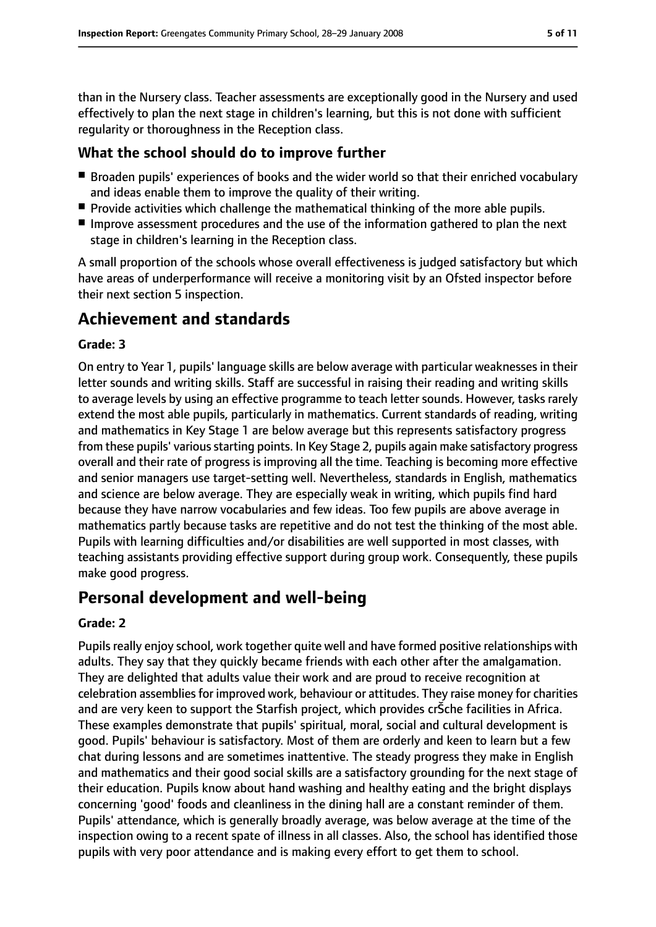than in the Nursery class. Teacher assessments are exceptionally good in the Nursery and used effectively to plan the next stage in children's learning, but this is not done with sufficient regularity or thoroughness in the Reception class.

## **What the school should do to improve further**

- Broaden pupils' experiences of books and the wider world so that their enriched vocabulary and ideas enable them to improve the quality of their writing.
- Provide activities which challenge the mathematical thinking of the more able pupils.
- Improve assessment procedures and the use of the information gathered to plan the next stage in children's learning in the Reception class.

A small proportion of the schools whose overall effectiveness is judged satisfactory but which have areas of underperformance will receive a monitoring visit by an Ofsted inspector before their next section 5 inspection.

# **Achievement and standards**

#### **Grade: 3**

On entry to Year 1, pupils' language skills are below average with particular weaknesses in their letter sounds and writing skills. Staff are successful in raising their reading and writing skills to average levels by using an effective programme to teach letter sounds. However, tasks rarely extend the most able pupils, particularly in mathematics. Current standards of reading, writing and mathematics in Key Stage 1 are below average but this represents satisfactory progress from these pupils' various starting points. In Key Stage 2, pupils again make satisfactory progress overall and their rate of progress is improving all the time. Teaching is becoming more effective and senior managers use target-setting well. Nevertheless, standards in English, mathematics and science are below average. They are especially weak in writing, which pupils find hard because they have narrow vocabularies and few ideas. Too few pupils are above average in mathematics partly because tasks are repetitive and do not test the thinking of the most able. Pupils with learning difficulties and/or disabilities are well supported in most classes, with teaching assistants providing effective support during group work. Consequently, these pupils make good progress.

# **Personal development and well-being**

#### **Grade: 2**

Pupils really enjoy school, work together quite well and have formed positive relationships with adults. They say that they quickly became friends with each other after the amalgamation. They are delighted that adults value their work and are proud to receive recognition at celebration assemblies for improved work, behaviour or attitudes. They raise money for charities and are very keen to support the Starfish project, which provides crSche facilities in Africa. These examples demonstrate that pupils' spiritual, moral, social and cultural development is good. Pupils' behaviour is satisfactory. Most of them are orderly and keen to learn but a few chat during lessons and are sometimes inattentive. The steady progress they make in English and mathematics and their good social skills are a satisfactory grounding for the next stage of their education. Pupils know about hand washing and healthy eating and the bright displays concerning 'good' foods and cleanliness in the dining hall are a constant reminder of them. Pupils' attendance, which is generally broadly average, was below average at the time of the inspection owing to a recent spate of illness in all classes. Also, the school has identified those pupils with very poor attendance and is making every effort to get them to school.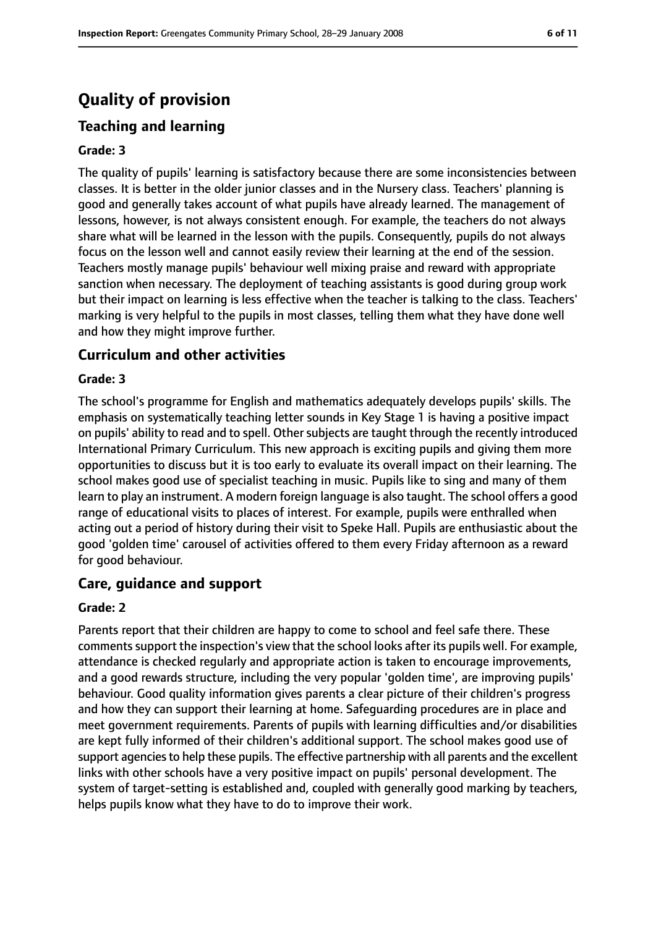# **Quality of provision**

## **Teaching and learning**

#### **Grade: 3**

The quality of pupils' learning is satisfactory because there are some inconsistencies between classes. It is better in the older junior classes and in the Nursery class. Teachers' planning is good and generally takes account of what pupils have already learned. The management of lessons, however, is not always consistent enough. For example, the teachers do not always share what will be learned in the lesson with the pupils. Consequently, pupils do not always focus on the lesson well and cannot easily review their learning at the end of the session. Teachers mostly manage pupils' behaviour well mixing praise and reward with appropriate sanction when necessary. The deployment of teaching assistants is good during group work but their impact on learning is less effective when the teacher is talking to the class. Teachers' marking is very helpful to the pupils in most classes, telling them what they have done well and how they might improve further.

#### **Curriculum and other activities**

#### **Grade: 3**

The school's programme for English and mathematics adequately develops pupils' skills. The emphasis on systematically teaching letter sounds in Key Stage 1 is having a positive impact on pupils' ability to read and to spell. Other subjects are taught through the recently introduced International Primary Curriculum. This new approach is exciting pupils and giving them more opportunities to discuss but it is too early to evaluate its overall impact on their learning. The school makes good use of specialist teaching in music. Pupils like to sing and many of them learn to play an instrument. A modern foreign language is also taught. The school offers a good range of educational visits to places of interest. For example, pupils were enthralled when acting out a period of history during their visit to Speke Hall. Pupils are enthusiastic about the good 'golden time' carousel of activities offered to them every Friday afternoon as a reward for good behaviour.

#### **Care, guidance and support**

#### **Grade: 2**

Parents report that their children are happy to come to school and feel safe there. These commentssupport the inspection's view that the school looks after its pupils well. For example, attendance is checked regularly and appropriate action is taken to encourage improvements, and a good rewards structure, including the very popular 'golden time', are improving pupils' behaviour. Good quality information gives parents a clear picture of their children's progress and how they can support their learning at home. Safeguarding procedures are in place and meet government requirements. Parents of pupils with learning difficulties and/or disabilities are kept fully informed of their children's additional support. The school makes good use of support agencies to help these pupils. The effective partnership with all parents and the excellent links with other schools have a very positive impact on pupils' personal development. The system of target-setting is established and, coupled with generally good marking by teachers, helps pupils know what they have to do to improve their work.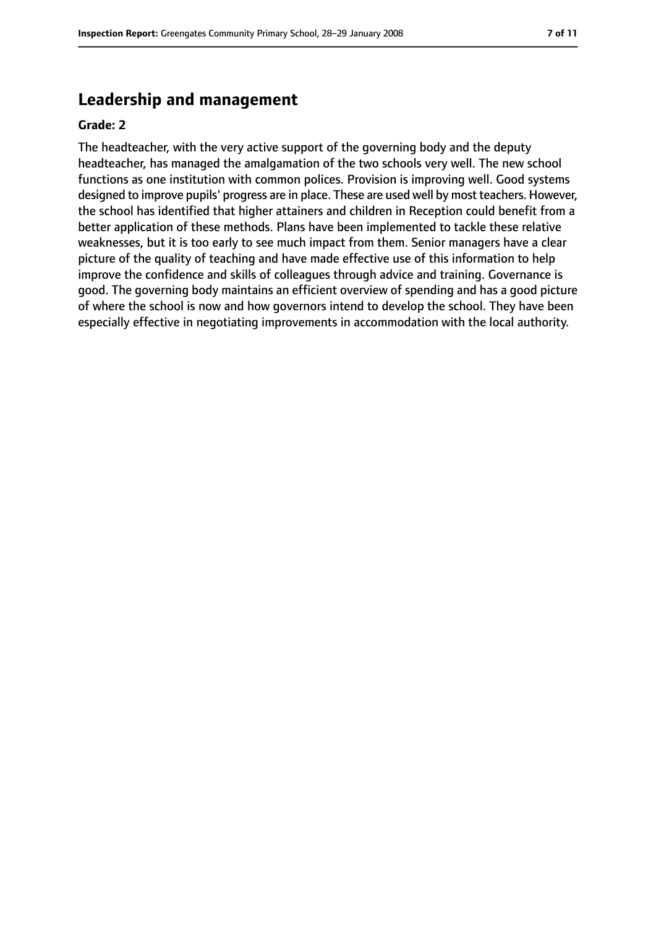# **Leadership and management**

#### **Grade: 2**

The headteacher, with the very active support of the governing body and the deputy headteacher, has managed the amalgamation of the two schools very well. The new school functions as one institution with common polices. Provision is improving well. Good systems designed to improve pupils' progress are in place. These are used well by most teachers. However, the school has identified that higher attainers and children in Reception could benefit from a better application of these methods. Plans have been implemented to tackle these relative weaknesses, but it is too early to see much impact from them. Senior managers have a clear picture of the quality of teaching and have made effective use of this information to help improve the confidence and skills of colleagues through advice and training. Governance is good. The governing body maintains an efficient overview of spending and has a good picture of where the school is now and how governors intend to develop the school. They have been especially effective in negotiating improvements in accommodation with the local authority.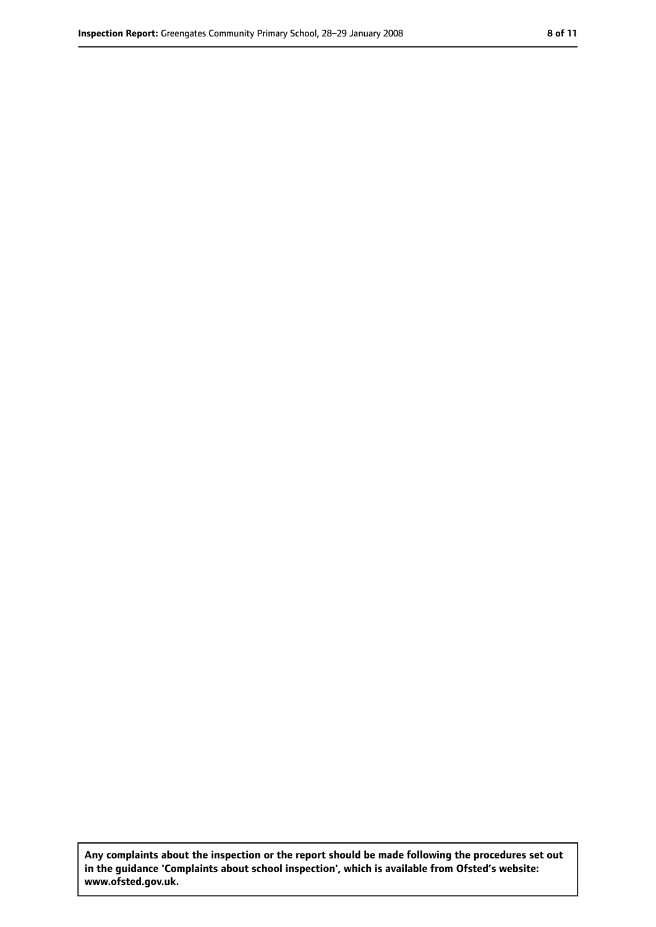**Any complaints about the inspection or the report should be made following the procedures set out in the guidance 'Complaints about school inspection', which is available from Ofsted's website: www.ofsted.gov.uk.**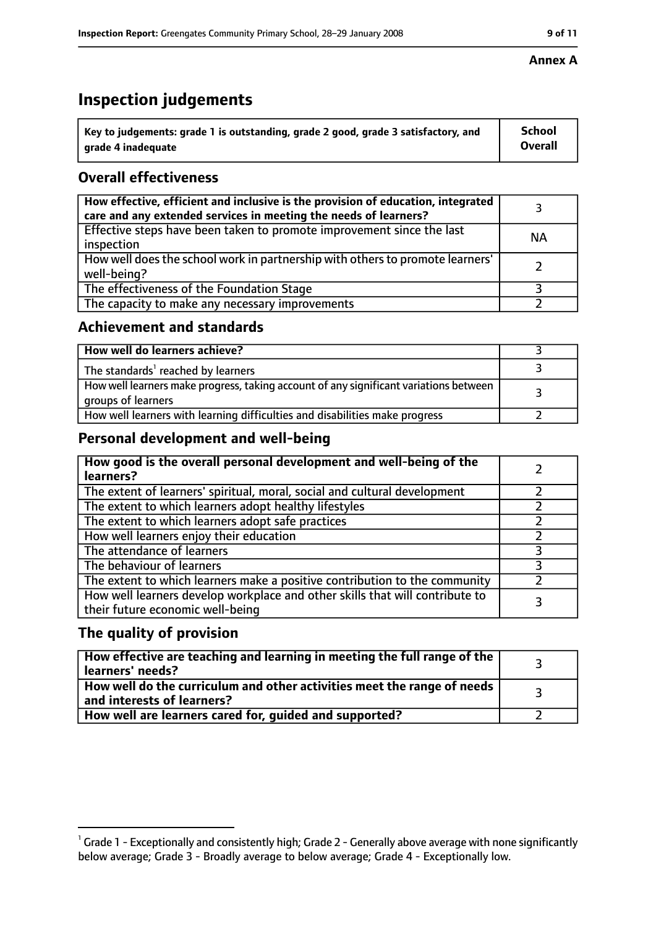# **Inspection judgements**

| $^{\backprime}$ Key to judgements: grade 1 is outstanding, grade 2 good, grade 3 satisfactory, and | <b>School</b>  |
|----------------------------------------------------------------------------------------------------|----------------|
| arade 4 inadeguate                                                                                 | <b>Overall</b> |

# **Overall effectiveness**

| How effective, efficient and inclusive is the provision of education, integrated<br>care and any extended services in meeting the needs of learners? |           |
|------------------------------------------------------------------------------------------------------------------------------------------------------|-----------|
| Effective steps have been taken to promote improvement since the last<br>inspection                                                                  | <b>NA</b> |
| How well does the school work in partnership with others to promote learners'<br>well-being?                                                         |           |
| The effectiveness of the Foundation Stage                                                                                                            |           |
| The capacity to make any necessary improvements                                                                                                      |           |

## **Achievement and standards**

| How well do learners achieve?                                                                               |  |
|-------------------------------------------------------------------------------------------------------------|--|
| The standards <sup>1</sup> reached by learners                                                              |  |
| How well learners make progress, taking account of any significant variations between<br>groups of learners |  |
| How well learners with learning difficulties and disabilities make progress                                 |  |

# **Personal development and well-being**

| How good is the overall personal development and well-being of the<br>learners?                                  |  |
|------------------------------------------------------------------------------------------------------------------|--|
| The extent of learners' spiritual, moral, social and cultural development                                        |  |
| The extent to which learners adopt healthy lifestyles                                                            |  |
| The extent to which learners adopt safe practices                                                                |  |
| How well learners enjoy their education                                                                          |  |
| The attendance of learners                                                                                       |  |
| The behaviour of learners                                                                                        |  |
| The extent to which learners make a positive contribution to the community                                       |  |
| How well learners develop workplace and other skills that will contribute to<br>their future economic well-being |  |

# **The quality of provision**

| How effective are teaching and learning in meeting the full range of the<br>learners' needs?          |  |
|-------------------------------------------------------------------------------------------------------|--|
| How well do the curriculum and other activities meet the range of needs<br>and interests of learners? |  |
| How well are learners cared for, guided and supported?                                                |  |

### **Annex A**

 $^1$  Grade 1 - Exceptionally and consistently high; Grade 2 - Generally above average with none significantly below average; Grade 3 - Broadly average to below average; Grade 4 - Exceptionally low.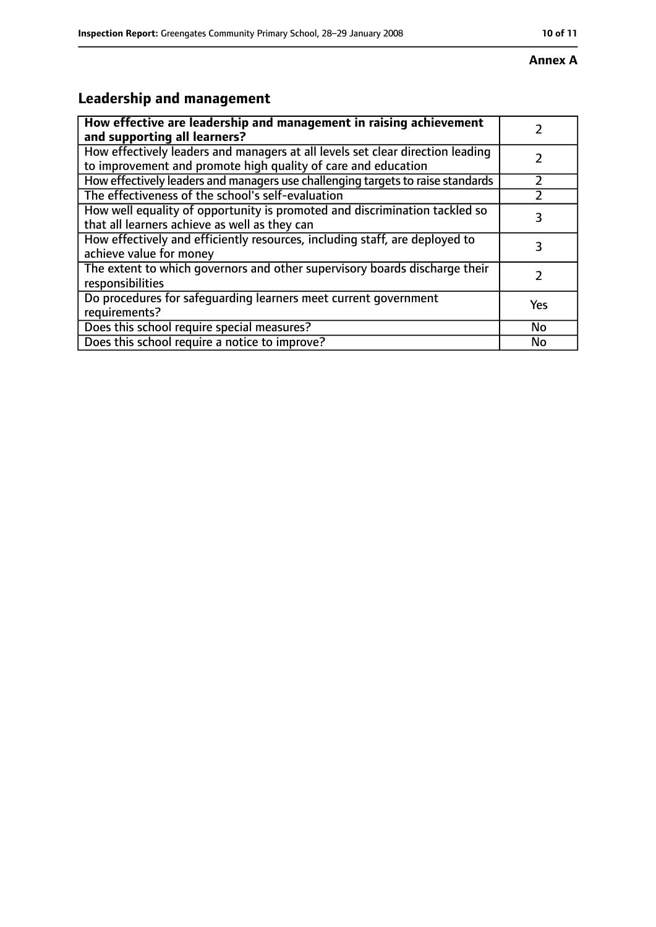#### **Annex A**

# **Leadership and management**

| How effective are leadership and management in raising achievement              |     |
|---------------------------------------------------------------------------------|-----|
| and supporting all learners?                                                    |     |
| How effectively leaders and managers at all levels set clear direction leading  |     |
| to improvement and promote high quality of care and education                   |     |
| How effectively leaders and managers use challenging targets to raise standards |     |
| The effectiveness of the school's self-evaluation                               |     |
| How well equality of opportunity is promoted and discrimination tackled so      |     |
| that all learners achieve as well as they can                                   | 3   |
| How effectively and efficiently resources, including staff, are deployed to     | 3   |
| achieve value for money                                                         |     |
| The extent to which governors and other supervisory boards discharge their      |     |
| responsibilities                                                                |     |
| Do procedures for safequarding learners meet current government                 |     |
| requirements?                                                                   | Yes |
| Does this school require special measures?                                      | No  |
| Does this school require a notice to improve?                                   | No  |